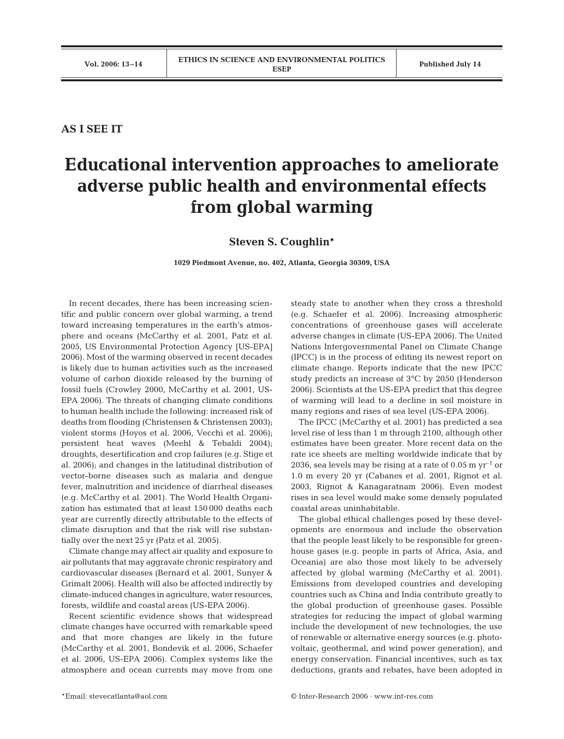## **AS I SEE IT**

## **Educational intervention approaches to ameliorate adverse public health and environmental effects from global warming**

**Steven S. Coughlin\***

**1029 Piedmont Avenue, no. 402, Atlanta, Georgia 30309, USA**

In recent decades, there has been increasing scientific and public concern over global warming, a trend toward increasing temperatures in the earth's atmosphere and oceans (McCarthy et al. 2001, Patz et al. 2005, US Environmental Protection Agency [US-EPA] 2006). Most of the warming observed in recent decades is likely due to human activities such as the increased volume of carbon dioxide released by the burning of fossil fuels (Crowley 2000, McCarthy et al. 2001, US-EPA 2006). The threats of changing climate conditions to human health include the following: increased risk of deaths from flooding (Christensen & Christensen 2003); violent storms (Hoyos et al. 2006, Vecchi et al. 2006); persistent heat waves (Meehl & Tebaldi 2004); droughts, desertification and crop failures (e.g. Stige et al. 2006); and changes in the latitudinal distribution of vector-borne diseases such as malaria and dengue fever, malnutrition and incidence of diarrheal diseases (e.g. McCarthy et al. 2001). The World Health Organization has estimated that at least 150 000 deaths each year are currently directly attributable to the effects of climate disruption and that the risk will rise substantially over the next 25 yr (Patz et al. 2005).

Climate change may affect air quality and exposure to air pollutants that may aggravate chronic respiratory and cardiovascular diseases (Bernard et al. 2001, Sunyer & Grimalt 2006). Health will also be affected indirectly by climate-induced changes in agriculture, water resources, forests, wildlife and coastal areas (US-EPA 2006).

Recent scientific evidence shows that widespread climate changes have occurred with remarkable speed and that more changes are likely in the future (McCarthy et al. 2001, Bondevik et al. 2006, Schaefer et al. 2006, US-EPA 2006). Complex systems like the atmosphere and ocean currents may move from one

steady state to another when they cross a threshold (e.g. Schaefer et al. 2006). Increasing atmospheric concentrations of greenhouse gases will accelerate adverse changes in climate (US-EPA 2006). The United Nations Intergovernmental Panel on Climate Change (IPCC) is in the process of editing its newest report on climate change. Reports indicate that the new IPCC study predicts an increase of 3°C by 2050 (Henderson 2006). Scientists at the US-EPA predict that this degree of warming will lead to a decline in soil moisture in many regions and rises of sea level (US-EPA 2006).

The IPCC (McCarthy et al. 2001) has predicted a sea level rise of less than 1 m through 2100, although other estimates have been greater. More recent data on the rate ice sheets are melting worldwide indicate that by 2036, sea levels may be rising at a rate of 0.05 m  $\rm{yr}^{-1}$  or 1.0 m every 20 yr (Cabanes et al. 2001, Rignot et al. 2003, Rignot & Kanagaratnam 2006). Even modest rises in sea level would make some densely populated coastal areas uninhabitable.

The global ethical challenges posed by these developments are enormous and include the observation that the people least likely to be responsible for greenhouse gases (e.g. people in parts of Africa, Asia, and Oceania) are also those most likely to be adversely affected by global warming (McCarthy et al. 2001). Emissions from developed countries and developing countries such as China and India contribute greatly to the global production of greenhouse gases. Possible strategies for reducing the impact of global warming include the development of new technologies, the use of renewable or alternative energy sources (e.g. photovoltaic, geothermal, and wind power generation), and energy conservation. Financial incentives, such as tax deductions, grants and rebates, have been adopted in